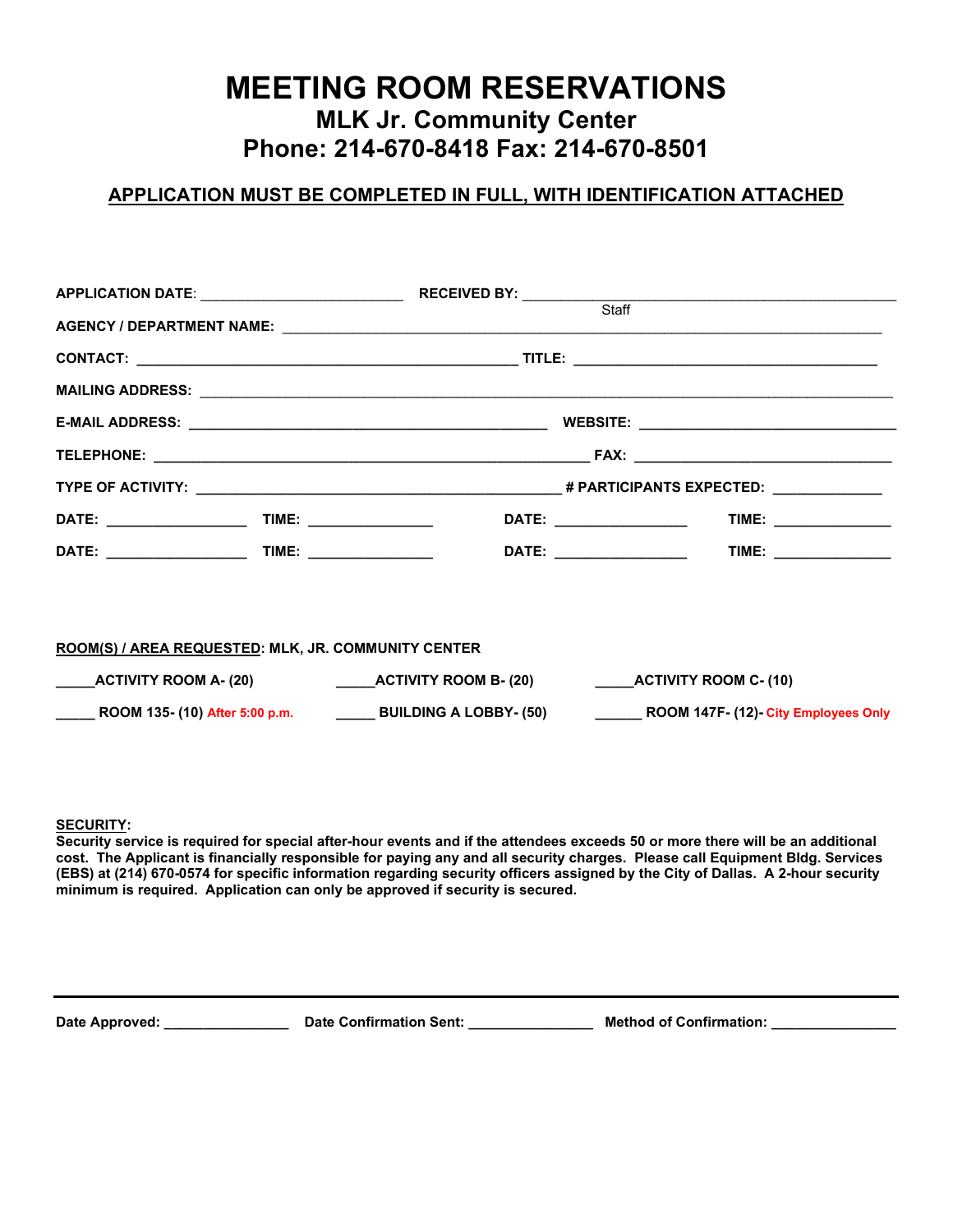# **MEETING ROOM RESERVATIONS MLK Jr. Community Center Phone: 214-670-8418 Fax: 214-670-8501**

## **APPLICATION MUST BE COMPLETED IN FULL, WITH IDENTIFICATION ATTACHED**

|                                                     |  |                                                                                                                       |  | AGENCY / DEPARTMENT NAME: LAND AND ANN AND A CONTROL AND A CONTROL AND A CONTROL AND A CONTROL AND A CONTROL A |  |  |
|-----------------------------------------------------|--|-----------------------------------------------------------------------------------------------------------------------|--|----------------------------------------------------------------------------------------------------------------|--|--|
|                                                     |  |                                                                                                                       |  |                                                                                                                |  |  |
|                                                     |  |                                                                                                                       |  |                                                                                                                |  |  |
|                                                     |  |                                                                                                                       |  |                                                                                                                |  |  |
|                                                     |  |                                                                                                                       |  |                                                                                                                |  |  |
|                                                     |  |                                                                                                                       |  |                                                                                                                |  |  |
|                                                     |  |                                                                                                                       |  | TIME: _______________                                                                                          |  |  |
|                                                     |  |                                                                                                                       |  |                                                                                                                |  |  |
|                                                     |  |                                                                                                                       |  |                                                                                                                |  |  |
| ROOM(S) / AREA REQUESTED: MLK, JR. COMMUNITY CENTER |  |                                                                                                                       |  |                                                                                                                |  |  |
|                                                     |  |                                                                                                                       |  |                                                                                                                |  |  |
|                                                     |  | ROOM 135- (10) After 5:00 p.m. _____________ BUILDING A LOBBY- (50) ____________ ROOM 147F- (12)- City Employees Only |  |                                                                                                                |  |  |

**SECURITY:** 

**Security service is required for special after-hour events and if the attendees exceeds 50 or more there will be an additional cost. The Applicant is financially responsible for paying any and all security charges. Please call Equipment Bldg. Services (EBS) at (214) 670-0574 for specific information regarding security officers assigned by the City of Dallas. A 2-hour security minimum is required. Application can only be approved if security is secured.**

Date Approved: \_\_\_\_\_\_\_\_\_\_\_\_\_\_\_\_\_\_\_ Date Confirmation Sent: \_\_\_\_\_\_\_\_\_\_\_\_\_\_\_\_ Method of Confirmation: \_\_\_\_\_\_\_\_\_\_\_\_